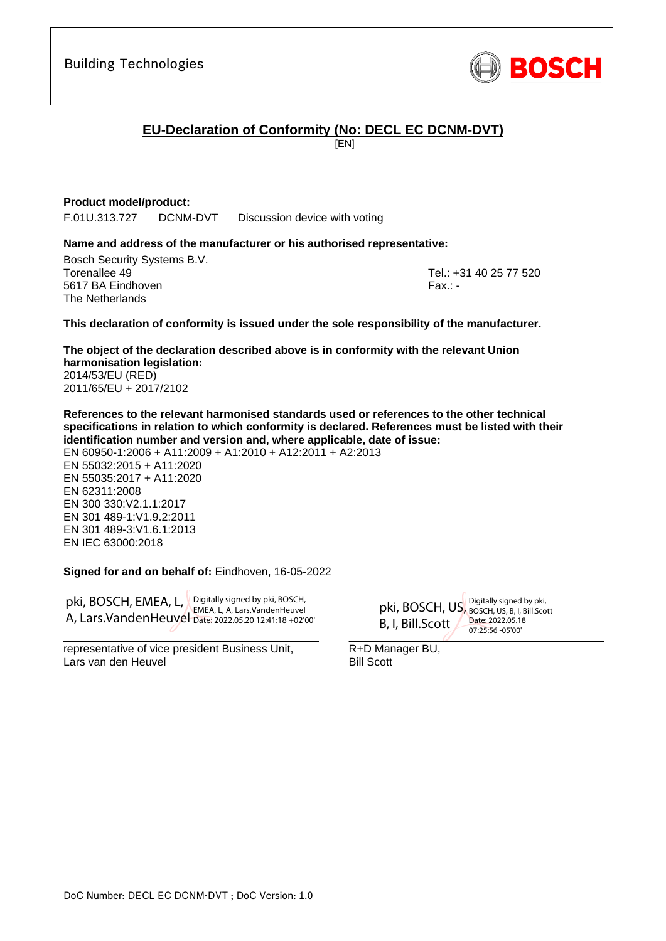

# **EU-Declaration of Conformity (No: DECL EC DCNM-DVT)**

[EN]

## **Product model/product:**

F.01U.313.727 DCNM-DVT Discussion device with voting

## **Name and address of the manufacturer or his authorised representative:**

Bosch Security Systems B.V. Torenallee 49 Tel.: +31 40 25 77 520 5617 BA Eindhoven Fax.: - Fax.: - Fax.: - Fax.: - Fax.: - Fax.: -The Netherlands

<span id="page-0-1"></span><span id="page-0-0"></span>

### **This declaration of conformity is issued under the sole responsibility of the manufacturer.**

<span id="page-0-2"></span>**The object of the declaration described above is in conformity with the relevant Union harmonisation legislation:** 2014/53/EU (RED) 2011/65/EU + 2017/2102

**References to the relevant harmonised standards used or references to the other technical specifications in relation to which conformity is declared. References must be listed with their identification number and version and, where applicable, date of issue:**

EN 60950-1:2006 + A11:2009 + A1:2010 + A12:2011 + A2:2013 EN 55032:2015 + A11:2020 EN 55035:2017 + A11:2020 EN 62311:2008 EN 300 330:V2.1.1:2017 EN 301 489-1:V1.9.2:2011 EN 301 489-3:V1.6.1:2013 EN IEC 63000:2018

## <span id="page-0-9"></span><span id="page-0-8"></span><span id="page-0-7"></span><span id="page-0-6"></span><span id="page-0-5"></span><span id="page-0-4"></span><span id="page-0-3"></span>**Signed for and on behalf of:** Eindhoven, 16-05-2022

pki, BOSCH, EMEA, L, Digitally signed by pki, BOSCH, A, Lars.VandenHeuvel Date: 2022.05.20 12:41:18 +02'00'EMEA, L, A, Lars.VandenHeuvel

\_\_\_\_\_\_\_\_\_\_\_\_\_\_\_\_\_\_\_\_\_\_\_\_\_\_\_\_\_\_\_\_\_\_\_\_\_\_\_\_\_ representative of vice president Business Unit, Lars van den Heuvel

 $07.25.30 - 0500$ pki, BOSCH, US, Digitally signed by pki, B, I, Bill.Scott  $\angle$ BOSCH, US, B, I, Bill.Scott Date: 2022.05.18 07:25:56 -05'00'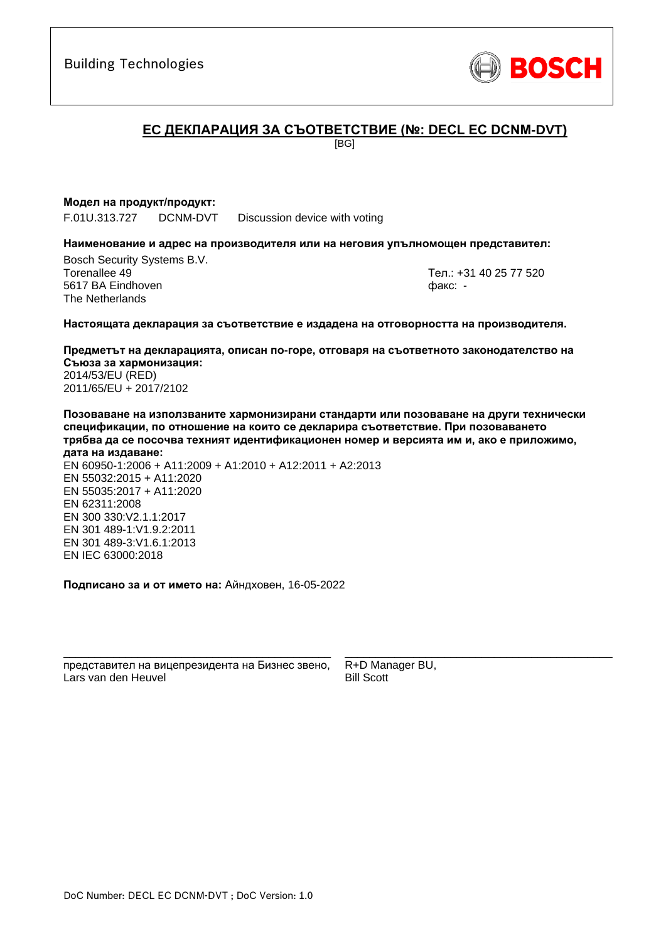

# **ЕC ДЕКЛАРАЦИЯ ЗА СЪОТВЕТСТВИЕ (№: DECL EC DCNM-DVT)**

[BG]

### **Модел на продукт/продукт:**

F.01U.313.727 DCNM-DVT Discussion device with voting

#### **Наименование и адрес на производителя или на неговия упълномощен представител:**

Bosch Security Systems B.V. Torenallee 49 Тел.: [+31 40 25 77 520](#page-0-0) 5617 BA Eindhoven факс: [-](#page-0-1) The Netherlands

\_\_\_\_\_\_\_\_\_\_\_\_\_\_\_\_\_\_\_\_\_\_\_\_\_\_\_\_\_\_\_\_\_\_\_\_\_\_\_\_\_\_\_

#### **Настоящата декларация за съответствие е издадена на отговорността на производителя.**

**Предметът на декларацията, описан по-горе, отговаря на съответното законодателство на Съюза за хармонизация[:](#page-0-2)** [2014/53/EU \(RED\)](#page-0-2) [2011/65/EU + 2017/2102](#page-0-2)

**Позоваване на използваните хармонизирани стандарти или позоваване на други технически спецификации, по отношение на които се декларира съответствие. При позоваването трябва да се посочва техният идентификационен номер и версията им и, ако е приложимо,** 

**дата на издаване:** EN 60950-1:2006 + A11:2009 + A1:2010 + A12:2011 + A2:2013 EN 55032:2015 + A11:2020 EN 55035:2017 + A11:2020 EN 62311:2008 EN 300 330:V2.1.1:2017 EN 301 489-1:V1.9.2:2011 EN 301 489-3:V1.6.[1:](#page-0-4)[2](#page-0-5)013 EN IEC 63000:201[8](#page-0-3)

**Подписано за и от името на:** Айндховен, 16-05-2022

\_\_\_\_\_\_\_\_\_\_\_\_\_\_\_\_\_\_\_\_\_\_\_\_\_\_\_\_\_\_\_\_\_\_\_\_\_\_\_\_\_\_\_ представител на вицепрезидента на Бизнес звено, Lars van den Heuvel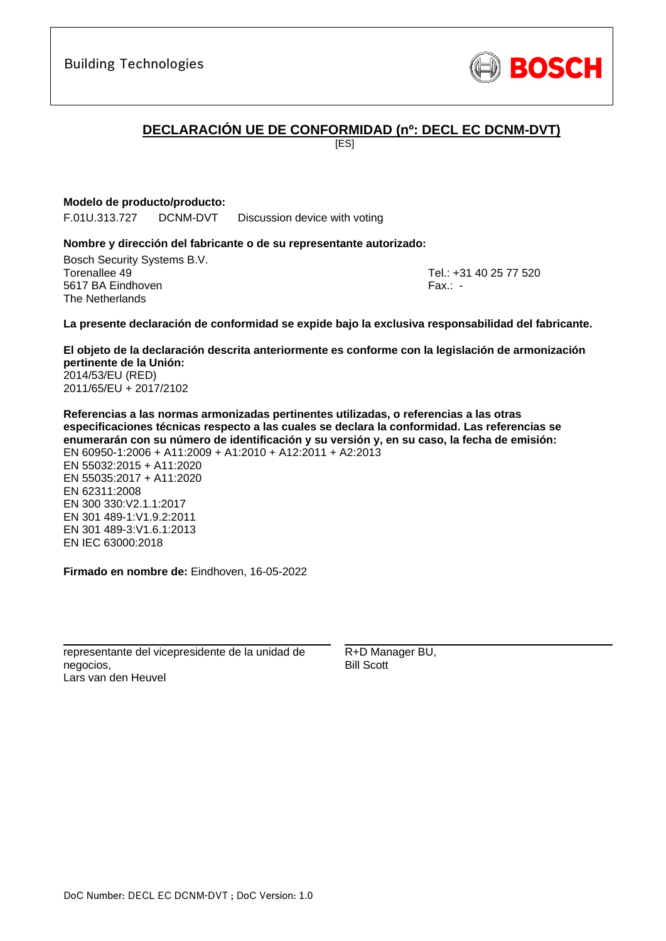Building Technologies

# **DECLARACIÓN UE DE CONFORMIDAD (nº: DECL EC DCNM-DVT)**

[ES]

# **Modelo de producto/producto:**

F.01U.313.727 DCNM-DVT Discussion device with voting

## **Nombre y dirección del fabricante o de su representante autorizado:**

Bosch Security Systems B.V. Torenallee 49 Tel.: [+31 40 25 77 520](#page-0-0) 5617 BA Eindhoven Fax.: [-](#page-0-1) The Netherlands

\_\_\_\_\_\_\_\_\_\_\_\_\_\_\_\_\_\_\_\_\_\_\_\_\_\_\_\_\_\_\_\_\_\_\_\_\_\_\_\_\_\_\_

## **La presente declaración de conformidad se expide bajo la exclusiva responsabilidad del fabricante.**

**El objeto de la declaración descrita anteriormente es conforme con la legislación de armonización pertinente de la Unión[:](#page-0-2)** [2014/53/EU \(RED\)](#page-0-2) [2011/65/EU + 2017/2102](#page-0-2)

**Referencias a las normas armonizadas pertinentes utilizadas, o referencias a las otras especificaciones técnicas respecto a las cuales se declara la conformidad. Las referencias se enumerarán con su número de identificación y su versión y, en su caso, la fecha de emisión:** EN 60950-1:2006 + A11:2009 + A1:2010 + A12:2011 + A2:2013 EN 55032:2015 + A11:2020 EN 55035:2017 + A11:2020 EN 62311:2008 EN 300 330:V2.1.1:2017 EN 301 489-1:V1.9.2:2011 EN 301 489-3:V1.6.1:2013 [E](#page-0-6)[N](#page-0-7) [I](#page-0-8)[E](#page-0-9)C 63000:201[8](#page-0-3)

**Firmado en nombre de:** Eindhoven, 16-05-2022

\_\_\_\_\_\_\_\_\_\_\_\_\_\_\_\_\_\_\_\_\_\_\_\_\_\_\_\_\_\_\_\_\_\_\_\_\_\_\_\_\_\_\_ representante del vicepresidente de la unidad de negocios, Lars van den Heuvel

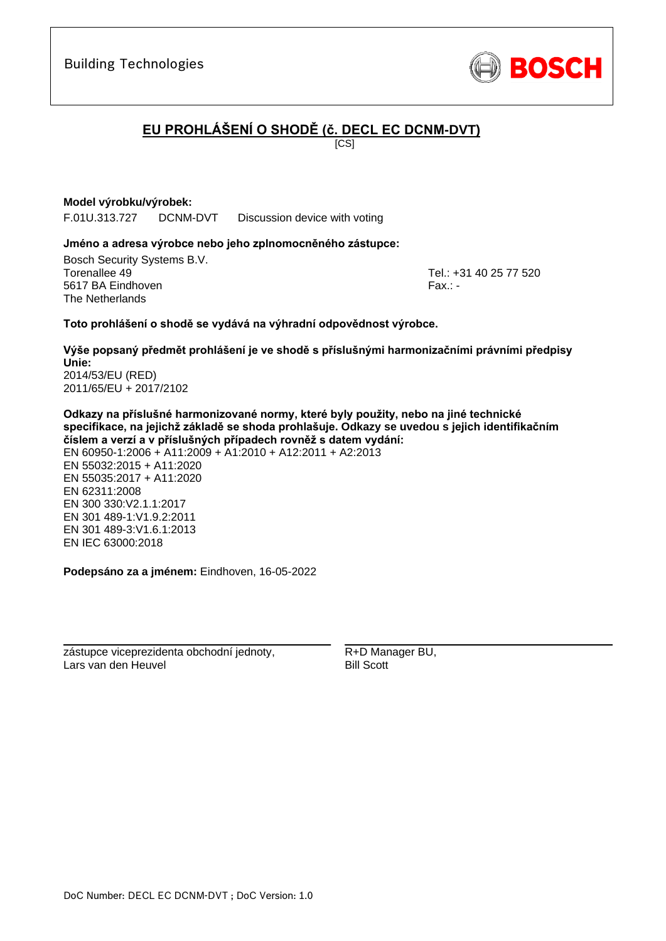

# **EU PROHLÁŠENÍ O SHODĚ (č. DECL EC DCNM-DVT)**

 $\overline{IC}$ SI

## **Model výrobku/výrobek:**

F.01U.313.727 DCNM-DVT Discussion device with voting

### **Jméno a adresa výrobce nebo jeho zplnomocněného zástupce:**

Bosch Security Systems B.V. Torenallee 49 Tel.: [+31 40 25 77 520](#page-0-0) 5617 BA Eindhoven Fax.: [-](#page-0-1) Fax.: - Fax.: - Fax.: - Fax.: - Fax.: -The Netherlands

[E](#page-0-6)[N](#page-0-7) [I](#page-0-8)[E](#page-0-9)C 63000:201[8](#page-0-3)

\_\_\_\_\_\_\_\_\_\_\_\_\_\_\_\_\_\_\_\_\_\_\_\_\_\_\_\_\_\_\_\_\_\_\_\_\_\_\_\_\_\_\_

## **Toto prohlášení o shodě se vydává na výhradní odpovědnost výrobce.**

**Výše popsaný předmět prohlášení je ve shodě s příslušnými harmonizačními právními předpisy Unie[:](#page-0-2)** [2014/53/EU \(RED\)](#page-0-2) [2011/65/EU + 2017/2102](#page-0-2)

**Odkazy na příslušné harmonizované normy, které byly použity, nebo na jiné technické specifikace, na jejichž základě se shoda prohlašuje. Odkazy se uvedou s jejich identifikačním číslem a verzí a v příslušných případech rovněž s datem vydání:** EN 60950-1:2006 + A11:2009 + A1:2010 + A12:2011 + A2:2013 EN 55032:2015 + A11:2020 EN 55035:2017 + A11:2020 EN 62311:2008 EN 300 330:V2.1.1:2017 EN 301 489-1:V1.9.2:2011 EN 301 489-3:V1.6.1:2013

**Podepsáno za a jménem:** Eindhoven, 16-05-2022

\_\_\_\_\_\_\_\_\_\_\_\_\_\_\_\_\_\_\_\_\_\_\_\_\_\_\_\_\_\_\_\_\_\_\_\_\_\_\_\_\_\_\_

zástupce viceprezidenta obchodní jednoty, Lars van den Heuvel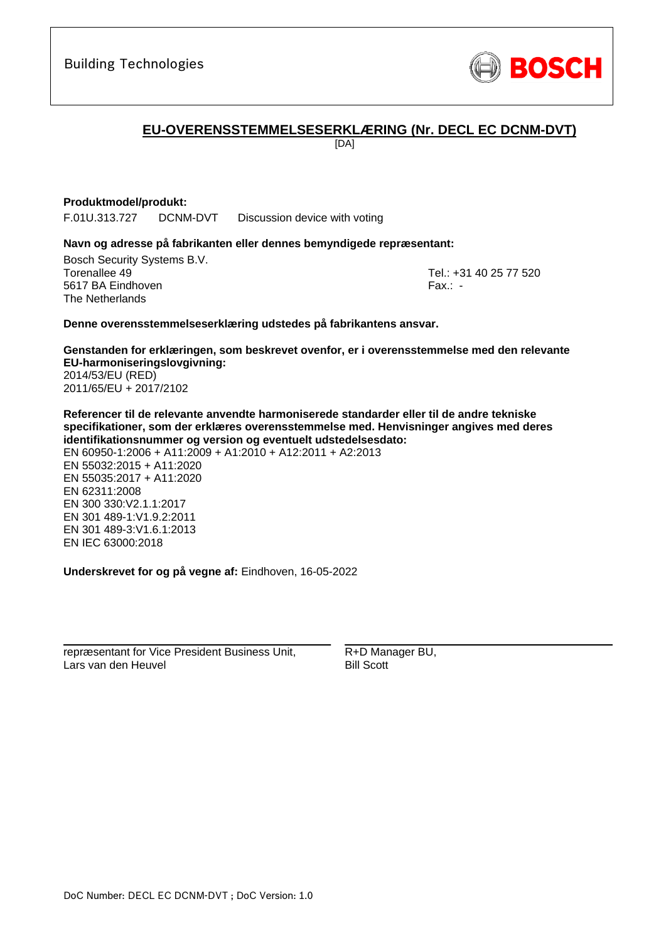

# **EU-OVERENSSTEMMELSESERKLÆRING (Nr. DECL EC DCNM-DVT)**

[DA]

## **Produktmodel/produkt:**

F.01U.313.727 DCNM-DVT Discussion device with voting

### **Navn og adresse på fabrikanten eller dennes bemyndigede repræsentant:**

Bosch Security Systems B.V. Torenallee 49 Tel.: [+31 40 25 77 520](#page-0-0) 5617 BA Eindhoven Fax.: [-](#page-0-1) The Netherlands

\_\_\_\_\_\_\_\_\_\_\_\_\_\_\_\_\_\_\_\_\_\_\_\_\_\_\_\_\_\_\_\_\_\_\_\_\_\_\_\_\_\_\_

### **Denne overensstemmelseserklæring udstedes på fabrikantens ansvar.**

**Genstanden for erklæringen, som beskrevet ovenfor, er i overensstemmelse med den relevante EU-harmoniseringslovgivning[:](#page-0-2)** [2014/53/EU \(RED\)](#page-0-2) [2011/65/EU + 2017/2102](#page-0-2)

**Referencer til de relevante anvendte harmoniserede standarder eller til de andre tekniske specifikationer, som der erklæres overensstemmelse med. Henvisninger angives med deres identifikationsnummer og version og eventuelt udstedelsesdato:**

EN 60950-1:2006 + A11:2009 + A1:2010 + A12:2011 + A2:2013 EN 55032:2015 + A11:2020 EN 55035:2017 + A11:2020 EN 62311:2008 EN 300 330:V2.1.1:2017 EN 301 489-1:V1.9.2:2011 EN 301 489-3:V1.6.1:2013 [E](#page-0-6)[N](#page-0-7) [I](#page-0-8)[E](#page-0-9)C 63000:201[8](#page-0-3)

**Underskrevet for og på vegne af:** Eindhoven, 16-05-2022

repræsentant for Vice President Business Unit, Lars van den Heuvel

\_\_\_\_\_\_\_\_\_\_\_\_\_\_\_\_\_\_\_\_\_\_\_\_\_\_\_\_\_\_\_\_\_\_\_\_\_\_\_\_\_\_\_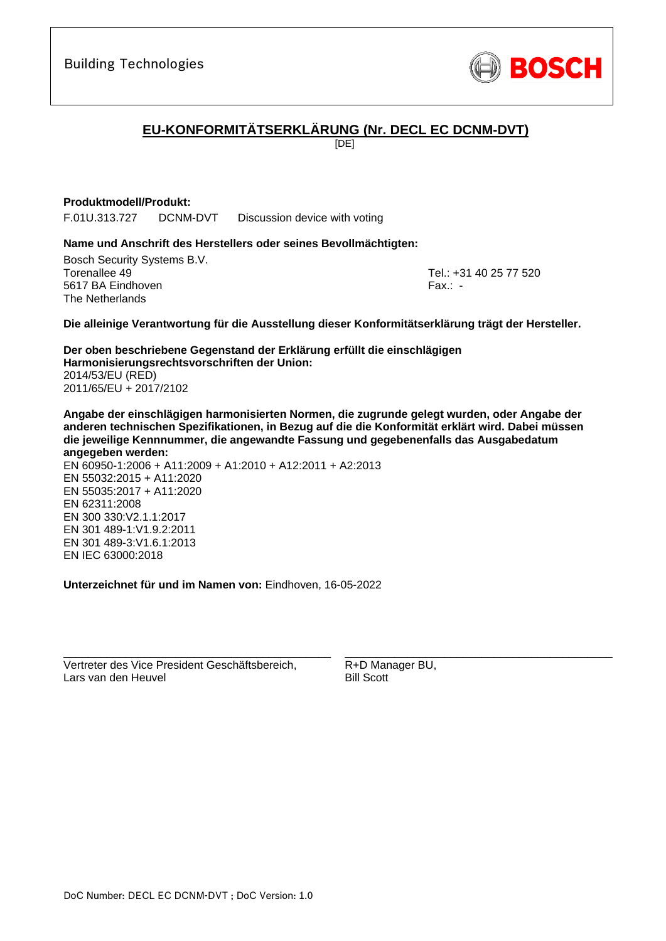

# **EU-KONFORMITÄTSERKLÄRUNG (Nr. DECL EC DCNM-DVT)**

[DE]

## **Produktmodell/Produkt:**

F.01U.313.727 DCNM-DVT Discussion device with voting

## **Name und Anschrift des Herstellers oder seines Bevollmächtigten:**

Bosch Security Systems B.V. Torenallee 49 Tel.: [+31 40 25 77 520](#page-0-0) 5617 BA Eindhoven Fax.: [-](#page-0-1) The Netherlands

\_\_\_\_\_\_\_\_\_\_\_\_\_\_\_\_\_\_\_\_\_\_\_\_\_\_\_\_\_\_\_\_\_\_\_\_\_\_\_\_\_\_\_

**Die alleinige Verantwortung für die Ausstellung dieser Konformitätserklärung trägt der Hersteller.**

**Der oben beschriebene Gegenstand der Erklärung erfüllt die einschlägigen Harmonisierungsrechtsvorschriften der Union[:](#page-0-2)** [2014/53/EU \(RED\)](#page-0-2) [2011/65/EU + 2017/2102](#page-0-2)

**Angabe der einschlägigen harmonisierten Normen, die zugrunde gelegt wurden, oder Angabe der anderen technischen Spezifikationen, in Bezug auf die die Konformität erklärt wird. Dabei müssen die jeweilige Kennnummer, die angewandte Fassung und gegebenenfalls das Ausgabedatum angegeben werden:**

EN 60950-1:2006 + A11:2009 + A1:2010 + A12:2011 + A2:2013 EN 55032:2015 + A11:2020 EN 55035:2017 + A11:2020 EN 62311:2008 EN 300 330:V2.1.1:2017 EN 301 489-1:V1.9.2:2011 EN 301 489-3:V1.6.[1:](#page-0-4)[2](#page-0-5)013 EN IEC 63000:201[8](#page-0-3)

**Unterzeichnet für und im Namen von:** Eindhoven, 16-05-2022

Vertreter des Vice President Geschäftsbereich, Lars van den Heuvel

\_\_\_\_\_\_\_\_\_\_\_\_\_\_\_\_\_\_\_\_\_\_\_\_\_\_\_\_\_\_\_\_\_\_\_\_\_\_\_\_\_\_\_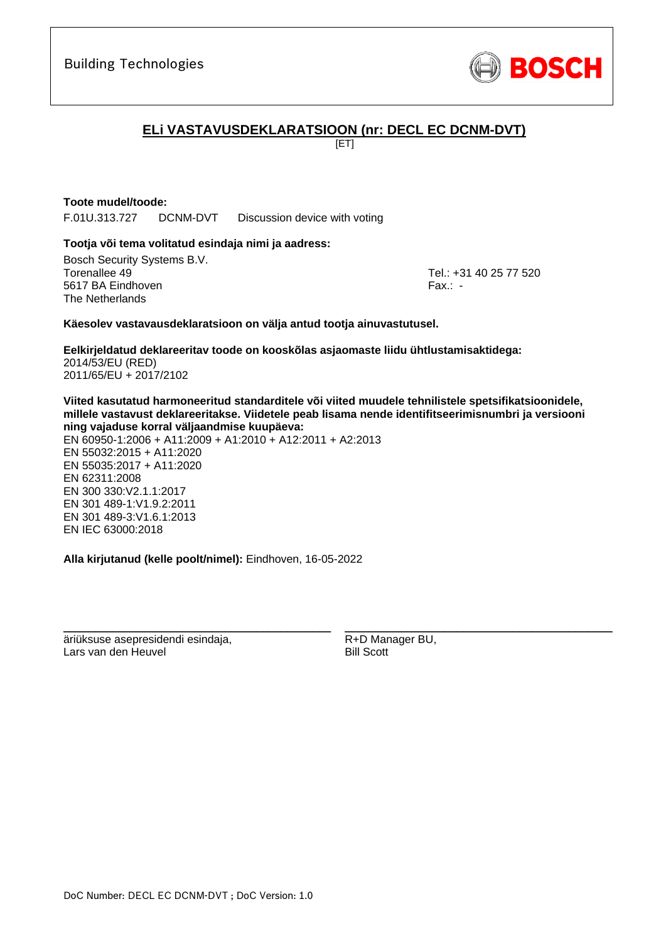

# **ELi VASTAVUSDEKLARATSIOON (nr: DECL EC DCNM-DVT)**

[ET]

## **Toote mudel/toode:**

F.01U.313.727 DCNM-DVT Discussion device with voting

## **Tootja või tema volitatud esindaja nimi ja aadress:**

Bosch Security Systems B.V. Torenallee 49 Tel.: [+31 40 25 77 520](#page-0-0) 5617 BA Eindhoven Fax.: [-](#page-0-1) The Netherlands

\_\_\_\_\_\_\_\_\_\_\_\_\_\_\_\_\_\_\_\_\_\_\_\_\_\_\_\_\_\_\_\_\_\_\_\_\_\_\_\_\_\_\_

### **Käesolev vastavausdeklaratsioon on välja antud tootja ainuvastutusel.**

**Eelkirjeldatud deklareeritav toode on kooskõlas asjaomaste liidu ühtlustamisaktidega[:](#page-0-2)** [2014/53/EU \(RED\)](#page-0-2) [2011/65/EU + 2017/2102](#page-0-2)

**Viited kasutatud harmoneeritud standarditele või viited muudele tehnilistele spetsifikatsioonidele, millele vastavust deklareeritakse. Viidetele peab lisama nende identifitseerimisnumbri ja versiooni ning vajaduse korral väljaandmise kuupäeva:**

EN 60950-1:2006 + A11:2009 + A1:2010 + A12:2011 + A2:2013 EN 55032:2015 + A11:2020 EN 55035:2017 + A11:2020 EN 62311:2008 EN 300 330:V2.1.1:2017 EN 301 489-1:V1.9.2:2011 EN 301 489-3:V1.6.[1:](#page-0-4)[2](#page-0-5)013 EN IEC 63000:201[8](#page-0-3)

**Alla kirjutanud (kelle poolt/nimel):** Eindhoven, 16-05-2022

\_\_\_\_\_\_\_\_\_\_\_\_\_\_\_\_\_\_\_\_\_\_\_\_\_\_\_\_\_\_\_\_\_\_\_\_\_\_\_\_\_\_\_

äriüksuse asepresidendi esindaja, Lars van den Heuvel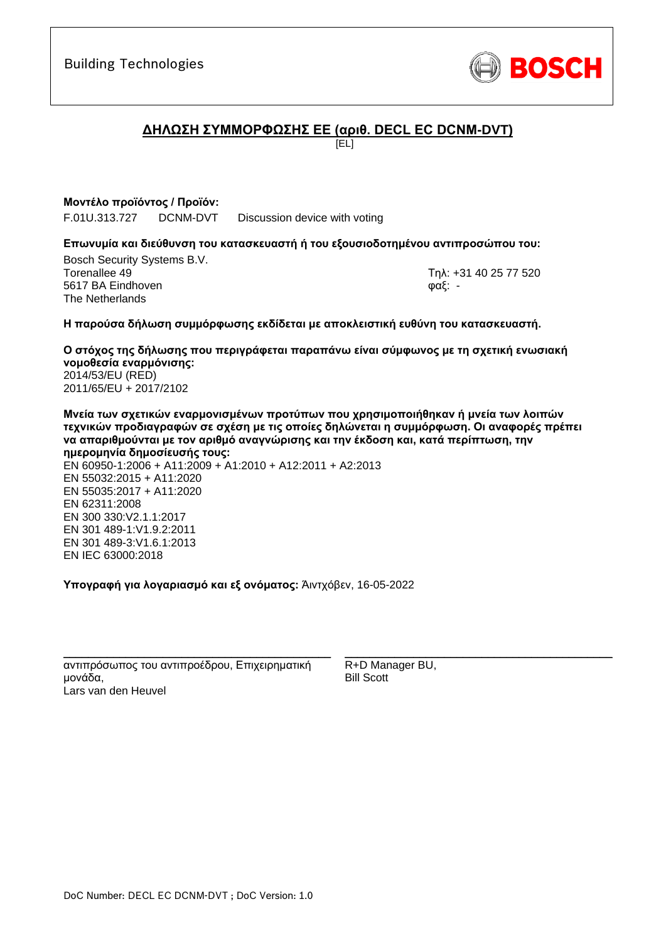

# **ΔΗΛΩΣΗ ΣΥΜΜΟΡΦΩΣΗΣ ΕΕ (αριθ. DECL EC DCNM-DVT)**

[EL]

# **Μοντέλο προϊόντος / Προϊόν:**

F.01U.313.727 DCNM-DVT Discussion device with voting

## **Επωνυμία και διεύθυνση του κατασκευαστή ή του εξουσιοδοτημένου αντιπροσώπου του:**

Bosch Security Systems B.V. Torenallee 49 Τηλ: [+31 40 25 77 520](#page-0-0) 5617 BA Eindhoven φαξ: [-](#page-0-1) The Netherlands

\_\_\_\_\_\_\_\_\_\_\_\_\_\_\_\_\_\_\_\_\_\_\_\_\_\_\_\_\_\_\_\_\_\_\_\_\_\_\_\_\_\_\_

## **Η παρούσα δήλωση συμμόρφωσης εκδίδεται με αποκλειστική ευθύνη του κατασκευαστή.**

**Ο στόχος της δήλωσης που περιγράφεται παραπάνω είναι σύμφωνος με τη σχετική ενωσιακή νομοθεσία εναρμόνισης[:](#page-0-2)** [2014/53/EU \(RED\)](#page-0-2) [2011/65/EU + 2017/2102](#page-0-2)

**Μνεία των σχετικών εναρμονισμένων προτύπων που χρησιμοποιήθηκαν ή μνεία των λοιπών τεχνικών προδιαγραφών σε σχέση με τις οποίες δηλώνεται η συμμόρφωση. Οι αναφορές πρέπει να απαριθμούνται με τον αριθμό αναγνώρισης και την έκδοση και, κατά περίπτωση, την ημερομηνία δημοσίευσής τους:**

EN 60950-1:2006 + A11:2009 + A1:2010 + A12:2011 + A2:2013 EN 55032:2015 + A11:2020 EN 55035:2017 + A11:2020 EN 62311:2008 EN 300 330:V2.1.1:2017 EN 301 489-1:V1.9.2:2011 EN 301 489-3:V1.6.[1:](#page-0-4)[2](#page-0-5)013 EN IEC 63000:201[8](#page-0-3)

**Υπογραφή για λογαριασμό και εξ ονόματος:** Άιντχόβεν, 16-05-2022

αντιπρόσωπος του αντιπροέδρου, Επιχειρηματική μονάδα, Lars van den Heuvel

\_\_\_\_\_\_\_\_\_\_\_\_\_\_\_\_\_\_\_\_\_\_\_\_\_\_\_\_\_\_\_\_\_\_\_\_\_\_\_\_\_\_\_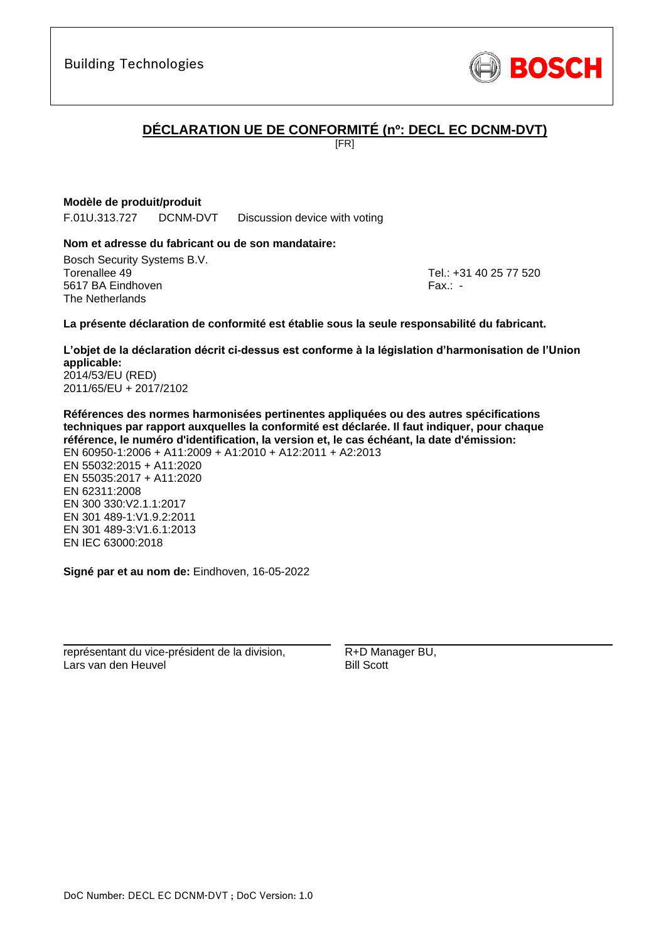

# **DÉCLARATION UE DE CONFORMITÉ (nº: DECL EC DCNM-DVT)**

[FR]

# **Modèle de produit/produit**

F.01U.313.727 DCNM-DVT Discussion device with voting

## **Nom et adresse du fabricant ou de son mandataire:**

Bosch Security Systems B.V. Torenallee 49 Tel.: [+31 40 25 77 520](#page-0-0) 5617 BA Eindhoven Fax.: [-](#page-0-1) The Netherlands

\_\_\_\_\_\_\_\_\_\_\_\_\_\_\_\_\_\_\_\_\_\_\_\_\_\_\_\_\_\_\_\_\_\_\_\_\_\_\_\_\_\_\_

## **La présente déclaration de conformité est établie sous la seule responsabilité du fabricant.**

**L'objet de la déclaration décrit ci-dessus est conforme à la législation d'harmonisation de l'Union applicable[:](#page-0-2)** [2014/53/EU \(RED\)](#page-0-2)

[2011/65/EU + 2017/2102](#page-0-2)

**Références des normes harmonisées pertinentes appliquées ou des autres spécifications techniques par rapport auxquelles la conformité est déclarée. Il faut indiquer, pour chaque référence, le numéro d'identification, la version et, le cas échéant, la date d'émission:** EN 60950-1:2006 + A11:2009 + A1:2010 + A12:2011 + A2:2013 EN 55032:2015 + A11:2020 EN 55035:2017 + A11:2020 EN 62311:2008 EN 300 330:V2.1.1:2017 EN 301 489-1:V1.9.2:2011 EN 301 489-3:V1.6.1:2013 [E](#page-0-6)[N](#page-0-7) [I](#page-0-8)[E](#page-0-9)C 63000:201[8](#page-0-3)

**Signé par et au nom de:** Eindhoven, 16-05-2022

\_\_\_\_\_\_\_\_\_\_\_\_\_\_\_\_\_\_\_\_\_\_\_\_\_\_\_\_\_\_\_\_\_\_\_\_\_\_\_\_\_\_\_

représentant du vice-président de la division, Lars van den Heuvel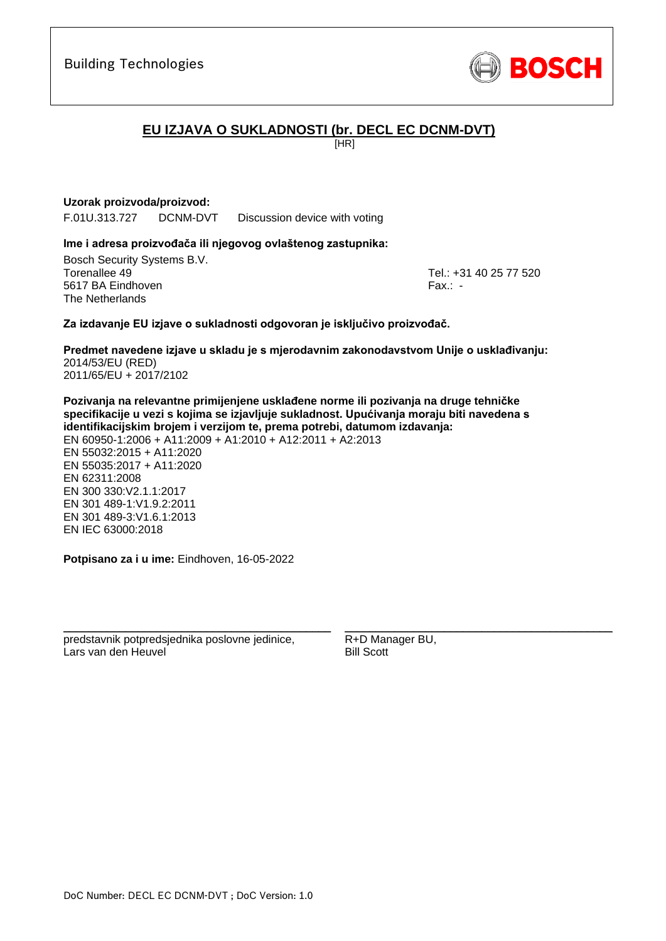

# **EU IZJAVA O SUKLADNOSTI (br. DECL EC DCNM-DVT)**

[HR]

## **Uzorak proizvoda/proizvod:**

F.01U.313.727 DCNM-DVT Discussion device with voting

### **Ime i adresa proizvođača ili njegovog ovlaštenog zastupnika:**

Bosch Security Systems B.V. Torenallee 49 Tel.: [+31 40 25 77 520](#page-0-0) 5617 BA Eindhoven Fax.: [-](#page-0-1) The Netherlands

\_\_\_\_\_\_\_\_\_\_\_\_\_\_\_\_\_\_\_\_\_\_\_\_\_\_\_\_\_\_\_\_\_\_\_\_\_\_\_\_\_\_\_

## **Za izdavanje EU izjave o sukladnosti odgovoran je isključivo proizvođač.**

**Predmet navedene izjave u skladu je s mjerodavnim zakonodavstvom Unije o usklađivanju[:](#page-0-2)** [2014/53/EU \(RED\)](#page-0-2) [2011/65/EU + 2017/2102](#page-0-2)

**Pozivanja na relevantne primijenjene usklađene norme ili pozivanja na druge tehničke specifikacije u vezi s kojima se izjavljuje sukladnost. Upućivanja moraju biti navedena s identifikacijskim brojem i verzijom te, prema potrebi, datumom izdavanja:** EN 60950-1:2006 + A11:2009 + A1:2010 + A12:2011 + A2:2013 EN 55032:2015 + A11:2020 EN 55035:2017 + A11:2020 EN 62311:2008 EN 300 330:V2.1.1:2017 EN 301 489-1:V1.9.2:2011 EN 301 489-3:V1.6.[1:](#page-0-4)[2](#page-0-5)013 EN IEC 63000:201[8](#page-0-3)

**Potpisano za i u ime:** Eindhoven, 16-05-2022

predstavnik potpredsjednika poslovne jedinice, Lars van den Heuvel

\_\_\_\_\_\_\_\_\_\_\_\_\_\_\_\_\_\_\_\_\_\_\_\_\_\_\_\_\_\_\_\_\_\_\_\_\_\_\_\_\_\_\_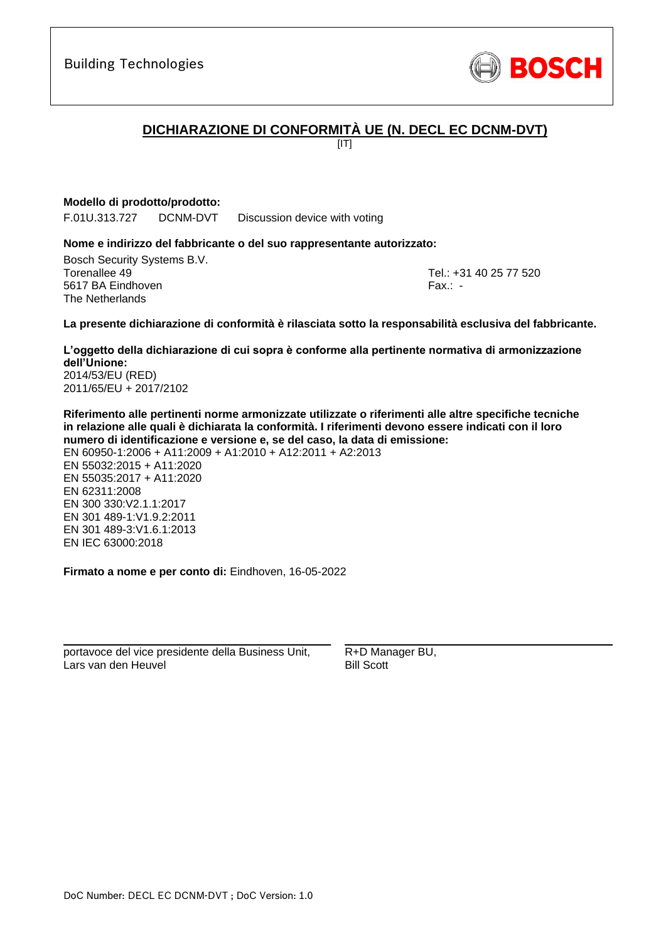

# **DICHIARAZIONE DI CONFORMITÀ UE (N. DECL EC DCNM-DVT)**

 $\overline{III}$ 

## **Modello di prodotto/prodotto:**

F.01U.313.727 DCNM-DVT Discussion device with voting

## **Nome e indirizzo del fabbricante o del suo rappresentante autorizzato:**

Bosch Security Systems B.V. Torenallee 49 Tel.: [+31 40 25 77 520](#page-0-0) 5617 BA Eindhoven Fax.: [-](#page-0-1) The Netherlands

\_\_\_\_\_\_\_\_\_\_\_\_\_\_\_\_\_\_\_\_\_\_\_\_\_\_\_\_\_\_\_\_\_\_\_\_\_\_\_\_\_\_\_

### **La presente dichiarazione di conformità è rilasciata sotto la responsabilità esclusiva del fabbricante.**

**L'oggetto della dichiarazione di cui sopra è conforme alla pertinente normativa di armonizzazione dell'Unione[:](#page-0-2)** [2014/53/EU \(RED\)](#page-0-2)

[2011/65/EU + 2017/2102](#page-0-2)

**Riferimento alle pertinenti norme armonizzate utilizzate o riferimenti alle altre specifiche tecniche in relazione alle quali è dichiarata la conformità. I riferimenti devono essere indicati con il loro numero di identificazione e versione e, se del caso, la data di emissione:**

EN 60950-1:2006 + A11:2009 + A1:2010 + A12:2011 + A2:2013 EN 55032:2015 + A11:2020 EN 55035:2017 + A11:2020 EN 62311:2008 EN 300 330:V2.1.1:2017 EN 301 489-1:V1.9.2:2011 EN 301 489-3:V1.6.1:2013 [E](#page-0-6)[N](#page-0-7) [I](#page-0-8)[E](#page-0-9)C 63000:201[8](#page-0-3)

**Firmato a nome e per conto di:** Eindhoven, 16-05-2022

portavoce del vice presidente della Business Unit, Lars van den Heuvel

\_\_\_\_\_\_\_\_\_\_\_\_\_\_\_\_\_\_\_\_\_\_\_\_\_\_\_\_\_\_\_\_\_\_\_\_\_\_\_\_\_\_\_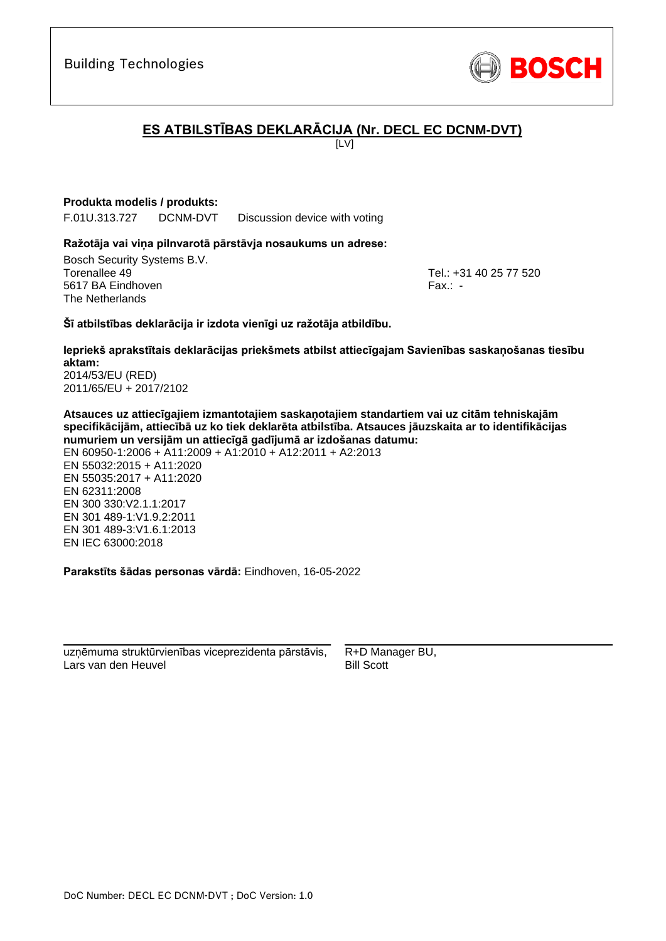Building Technologies

# **ES ATBILSTĪBAS DEKLARĀCIJA (Nr. DECL EC DCNM-DVT)**

 $\overline{L}$ 

## **Produkta modelis / produkts:**

F.01U.313.727 DCNM-DVT Discussion device with voting

### **Ražotāja vai viņa pilnvarotā pārstāvja nosaukums un adrese:**

Bosch Security Systems B.V. Torenallee 49 Tel.: [+31 40 25 77 520](#page-0-0) 5617 BA Eindhoven Fax.: [-](#page-0-1) The Netherlands

\_\_\_\_\_\_\_\_\_\_\_\_\_\_\_\_\_\_\_\_\_\_\_\_\_\_\_\_\_\_\_\_\_\_\_\_\_\_\_\_\_\_\_

### **Šī atbilstības deklarācija ir izdota vienīgi uz ražotāja atbildību.**

**Iepriekš aprakstītais deklarācijas priekšmets atbilst attiecīgajam Savienības saskaņošanas tiesību aktam[:](#page-0-2)** [2014/53/EU \(RED\)](#page-0-2)

[2011/65/EU + 2017/2102](#page-0-2)

**Atsauces uz attiecīgajiem izmantotajiem saskaņotajiem standartiem vai uz citām tehniskajām specifikācijām, attiecībā uz ko tiek deklarēta atbilstība. Atsauces jāuzskaita ar to identifikācijas numuriem un versijām un attiecīgā gadījumā ar izdošanas datumu:**

EN 60950-1:2006 + A11:2009 + A1:2010 + A12:2011 + A2:2013 EN 55032:2015 + A11:2020 EN 55035:2017 + A11:2020 EN 62311:2008 EN 300 330:V2.1.1:2017 EN 301 489-1:V1.9.2:2011 EN 301 489-3:V1.6.1:2013 [E](#page-0-6)[N](#page-0-7) [I](#page-0-8)[E](#page-0-9)C 63000:201[8](#page-0-3)

**Parakstīts šādas personas vārdā:** Eindhoven, 16-05-2022

\_\_\_\_\_\_\_\_\_\_\_\_\_\_\_\_\_\_\_\_\_\_\_\_\_\_\_\_\_\_\_\_\_\_\_\_\_\_\_\_\_\_\_ uzņēmuma struktūrvienības viceprezidenta pārstāvis, Lars van den Heuvel

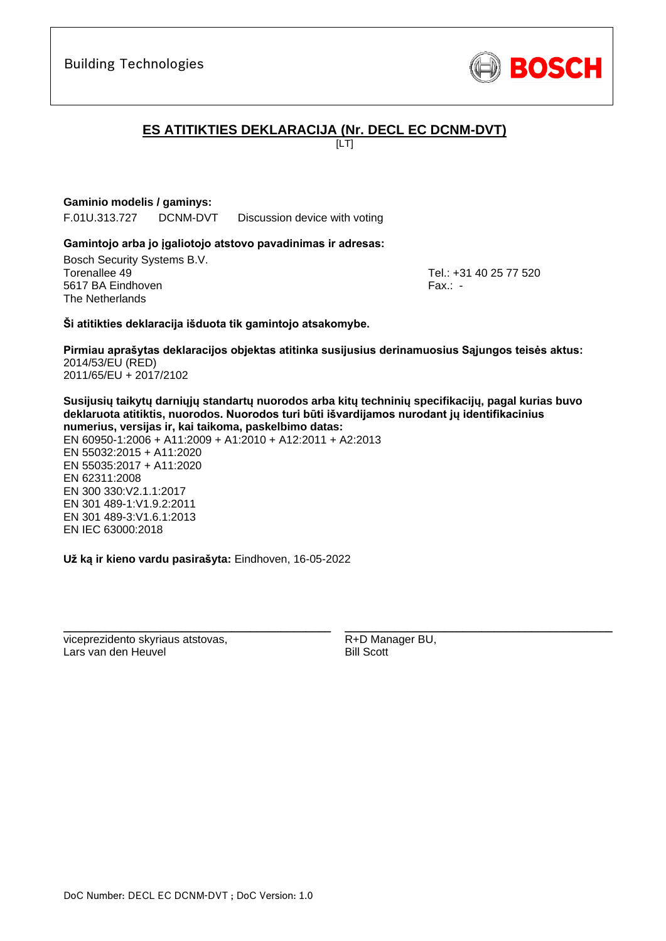

# **ES ATITIKTIES DEKLARACIJA (Nr. DECL EC DCNM-DVT)**

[LT]

# **Gaminio modelis / gaminys:**

F.01U.313.727 DCNM-DVT Discussion device with voting

## **Gamintojo arba jo įgaliotojo atstovo pavadinimas ir adresas:**

Bosch Security Systems B.V. Torenallee 49 Tel.: [+31 40 25 77 520](#page-0-0) 5617 BA Eindhoven Fax.: [-](#page-0-1) The Netherlands

\_\_\_\_\_\_\_\_\_\_\_\_\_\_\_\_\_\_\_\_\_\_\_\_\_\_\_\_\_\_\_\_\_\_\_\_\_\_\_\_\_\_\_

## **Ši atitikties deklaracija išduota tik gamintojo atsakomybe.**

**Pirmiau aprašytas deklaracijos objektas atitinka susijusius derinamuosius Sąjungos teisės aktus[:](#page-0-2)** [2014/53/EU \(RED\)](#page-0-2) [2011/65/EU + 2017/2102](#page-0-2)

**Susijusių taikytų darniųjų standartų nuorodos arba kitų techninių specifikacijų, pagal kurias buvo deklaruota atitiktis, nuorodos. Nuorodos turi būti išvardijamos nurodant jų identifikacinius numerius, versijas ir, kai taikoma, paskelbimo datas:**

EN 60950-1:2006 + A11:2009 + A1:2010 + A12:2011 + A2:2013 EN 55032:2015 + A11:2020 EN 55035:2017 + A11:2020 EN 62311:2008 EN 300 330:V2.1.1:2017 EN 301 489-1:V1.9.2:2011 EN 301 489-3:V1.6.[1:](#page-0-4)[2](#page-0-5)013 EN IEC 63000:201[8](#page-0-3)

**Už ką ir kieno vardu pasirašyta:** Eindhoven, 16-05-2022

\_\_\_\_\_\_\_\_\_\_\_\_\_\_\_\_\_\_\_\_\_\_\_\_\_\_\_\_\_\_\_\_\_\_\_\_\_\_\_\_\_\_\_

viceprezidento skyriaus atstovas, Lars van den Heuvel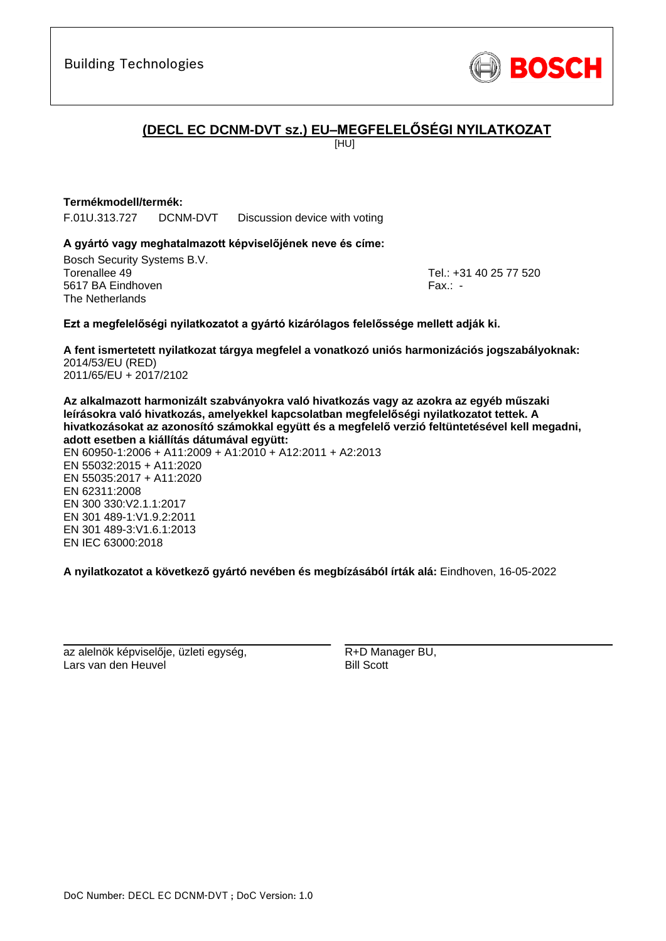

# **(DECL EC DCNM-DVT sz.) EU–MEGFELELŐSÉGI NYILATKOZAT**

[HU]

## **Termékmodell/termék:**

F.01U.313.727 DCNM-DVT Discussion device with voting

## **A gyártó vagy meghatalmazott képviselőjének neve és címe:**

Bosch Security Systems B.V. Torenallee 49 Tel.: [+31 40 25 77 520](#page-0-0) 5617 BA Eindhoven Fax.: [-](#page-0-1) The Netherlands

\_\_\_\_\_\_\_\_\_\_\_\_\_\_\_\_\_\_\_\_\_\_\_\_\_\_\_\_\_\_\_\_\_\_\_\_\_\_\_\_\_\_\_

## **Ezt a megfelelőségi nyilatkozatot a gyártó kizárólagos felelőssége mellett adják ki.**

**A fent ismertetett nyilatkozat tárgya megfelel a vonatkozó uniós harmonizációs jogszabályoknak[:](#page-0-2)** [2014/53/EU \(RED\)](#page-0-2) [2011/65/EU + 2017/2102](#page-0-2)

**Az alkalmazott harmonizált szabványokra való hivatkozás vagy az azokra az egyéb műszaki leírásokra való hivatkozás, amelyekkel kapcsolatban megfelelőségi nyilatkozatot tettek. A hivatkozásokat az azonosító számokkal együtt és a megfelelő verzió feltüntetésével kell megadni, adott esetben a kiállítás dátumával együtt:**

EN 60950-1:2006 + A11:2009 + A1:2010 + A12:2011 + A2:2013 EN 55032:2015 + A11:2020 EN 55035:2017 + A11:2020 EN 62311:2008 EN 300 330:V2.1.1:2017 EN 301 489-1:V1.9.2:2011 EN 301 489-3:V1.6.1:2013 [E](#page-0-6)[N](#page-0-7) [IE](#page-0-8)[C](#page-0-9) 63000:201[8](#page-0-3)

**A nyilatkozatot a következő gyártó nevében és megbízásából írták alá:** Eindhoven, 16-05-2022

az alelnök képviselője, üzleti egység, Lars van den Heuvel

\_\_\_\_\_\_\_\_\_\_\_\_\_\_\_\_\_\_\_\_\_\_\_\_\_\_\_\_\_\_\_\_\_\_\_\_\_\_\_\_\_\_\_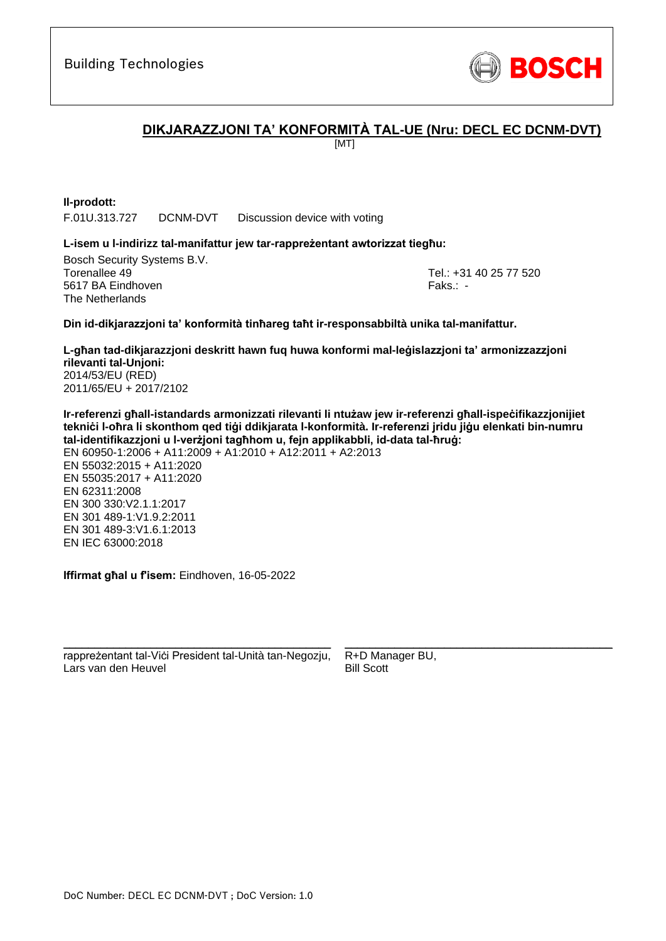

# **DIKJARAZZJONI TA' KONFORMITÀ TAL-UE (Nru: DECL EC DCNM-DVT)**

[MT]

**Il-prodott:**

F.01U.313.727 DCNM-DVT Discussion device with voting

### **L-isem u l-indirizz tal-manifattur jew tar-rappreżentant awtorizzat tiegħu:**

Bosch Security Systems B.V. Torenallee 49 Tel.: [+31 40 25 77 520](#page-0-0) 5617 BA Eindhoven Faks.[: -](#page-0-1) Faks.: - Faks.: - Faks.: - Faks.: -The Netherlands

\_\_\_\_\_\_\_\_\_\_\_\_\_\_\_\_\_\_\_\_\_\_\_\_\_\_\_\_\_\_\_\_\_\_\_\_\_\_\_\_\_\_\_

### **Din id-dikjarazzjoni ta' konformità tinħareg taħt ir-responsabbiltà unika tal-manifattur.**

**L-għan tad-dikjarazzjoni deskritt hawn fuq huwa konformi mal-leġislazzjoni ta' armonizzazzjoni rilevanti tal-Unjoni[:](#page-0-2)** [2014/53/EU \(RED\)](#page-0-2) [2011/65/EU + 2017/2102](#page-0-2)

**Ir-referenzi għall-istandards armonizzati rilevanti li ntużaw jew ir-referenzi għall-ispeċifikazzjonijiet tekniċi l-oħra li skonthom qed tiġi ddikjarata l-konformità. Ir-referenzi jridu jiġu elenkati bin-numru tal-identifikazzjoni u l-verżjoni tagħhom u, fejn applikabbli, id-data tal-ħruġ:** EN 60950-1:2006 + A11:2009 + A1:2010 + A12:2011 + A2:2013

EN 55032:2015 + A11:2020 EN 55035:2017 + A11:2020 EN 62311:2008 EN 300 330:V2.1.1:2017 EN 301 489-1:V1.9.2:2011 EN 301 489-3:V1.6.1:2013 EN IEC 63000:201[8](#page-0-3)

**Iffirmat għal u f'isem:** Eindhoven, 16-05-2022

\_\_\_\_\_\_\_\_\_\_\_\_\_\_\_\_\_\_\_\_\_\_\_\_\_\_\_\_\_\_\_\_\_\_\_\_\_\_\_\_\_\_\_ rappreżentant tal-Viċi President tal-Unità tan-Negozju, Lars van den Heuvel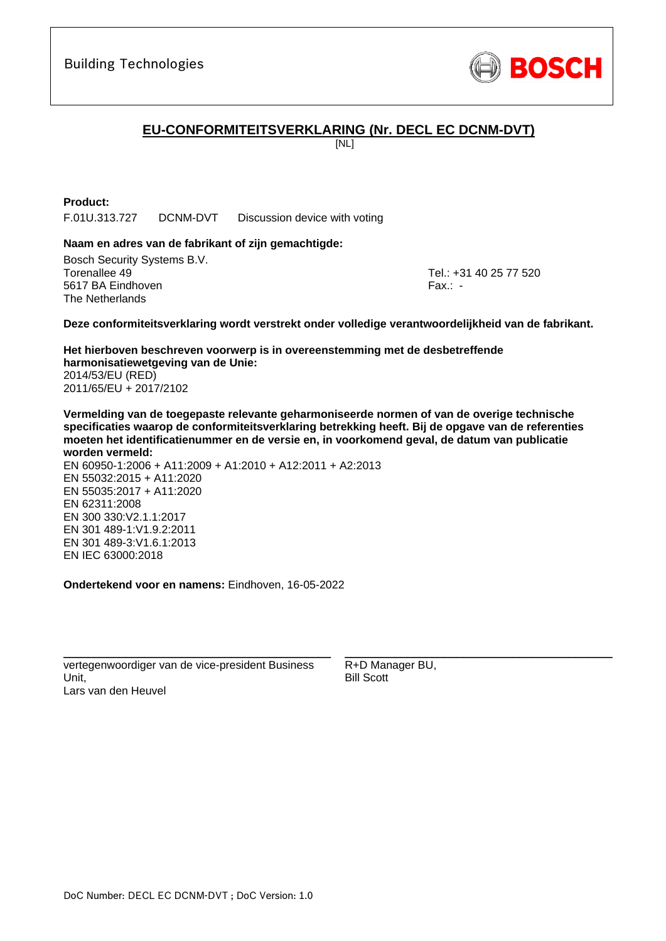

# **EU-CONFORMITEITSVERKLARING (Nr. DECL EC DCNM-DVT)**

[NL]

## **Product:**

F.01U.313.727 DCNM-DVT Discussion device with voting

### **Naam en adres van de fabrikant of zijn gemachtigde:**

Bosch Security Systems B.V. Torenallee 49 Tel.: [+31 40 25 77 520](#page-0-0) 5617 BA Eindhoven Fax.: [-](#page-0-1) The Netherlands

\_\_\_\_\_\_\_\_\_\_\_\_\_\_\_\_\_\_\_\_\_\_\_\_\_\_\_\_\_\_\_\_\_\_\_\_\_\_\_\_\_\_\_

#### **Deze conformiteitsverklaring wordt verstrekt onder volledige verantwoordelijkheid van de fabrikant.**

**Het hierboven beschreven voorwerp is in overeenstemming met de desbetreffende harmonisatiewetgeving van de Unie[:](#page-0-2)** [2014/53/EU \(RED\)](#page-0-2) [2011/65/EU + 2017/2102](#page-0-2)

**Vermelding van de toegepaste relevante geharmoniseerde normen of van de overige technische specificaties waarop de conformiteitsverklaring betrekking heeft. Bij de opgave van de referenties moeten het identificatienummer en de versie en, in voorkomend geval, de datum van publicatie worden vermeld:**

EN 60950-1:2006 + A11:2009 + A1:2010 + A12:2011 + A2:2013 EN 55032:2015 + A11:2020 EN 55035:2017 + A11:2020 EN 62311:2008 EN 300 330:V2.1.1:2017 EN 301 489-1:V1.9.2:2011 EN 301 489-3:V1.6.[1:](#page-0-4)[2](#page-0-5)013 EN IEC 63000:201[8](#page-0-3)

**Ondertekend voor en namens:** Eindhoven, 16-05-2022

vertegenwoordiger van de vice-president Business Unit, Lars van den Heuvel

\_\_\_\_\_\_\_\_\_\_\_\_\_\_\_\_\_\_\_\_\_\_\_\_\_\_\_\_\_\_\_\_\_\_\_\_\_\_\_\_\_\_\_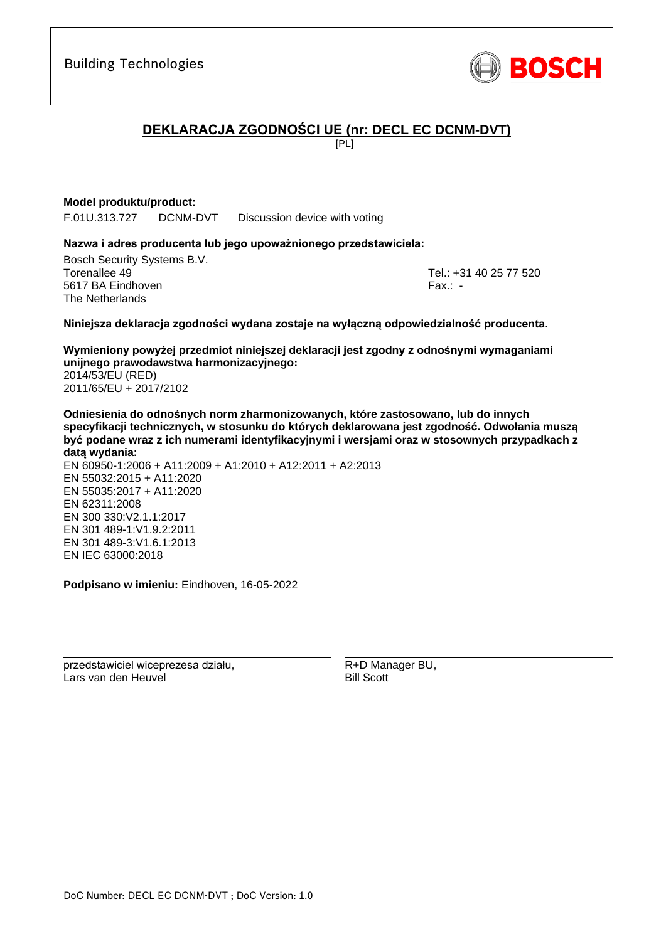

# **DEKLARACJA ZGODNOŚCI UE (nr: DECL EC DCNM-DVT)**

 $F$ 

## **Model produktu/product:**

F.01U.313.727 DCNM-DVT Discussion device with voting

## **Nazwa i adres producenta lub jego upoważnionego przedstawiciela:**

Bosch Security Systems B.V. Torenallee 49 Tel.: [+31 40 25 77 520](#page-0-0) 5617 BA Eindhoven Fax.: [-](#page-0-1) The Netherlands

\_\_\_\_\_\_\_\_\_\_\_\_\_\_\_\_\_\_\_\_\_\_\_\_\_\_\_\_\_\_\_\_\_\_\_\_\_\_\_\_\_\_\_

### **Niniejsza deklaracja zgodności wydana zostaje na wyłączną odpowiedzialność producenta.**

**Wymieniony powyżej przedmiot niniejszej deklaracji jest zgodny z odnośnymi wymaganiami unijnego prawodawstwa harmonizacyjnego[:](#page-0-2)** [2014/53/EU \(RED\)](#page-0-2) [2011/65/EU + 2017/2102](#page-0-2)

**Odniesienia do odnośnych norm zharmonizowanych, które zastosowano, lub do innych specyfikacji technicznych, w stosunku do których deklarowana jest zgodność. Odwołania muszą być podane wraz z ich numerami identyfikacyjnymi i wersjami oraz w stosownych przypadkach z datą wydania:**

EN 60950-1:2006 + A11:2009 + A1:2010 + A12:2011 + A2:2013 EN 55032:2015 + A11:2020 EN 55035:2017 + A11:2020 EN 62311:2008 EN 300 330:V2.1.1:2017 EN 301 489-1:V1.9.2:2011 EN 301 489-3:V1.6.[1:](#page-0-4)[2](#page-0-5)013 EN IEC 63000:201[8](#page-0-3)

**Podpisano w imieniu:** Eindhoven, 16-05-2022

\_\_\_\_\_\_\_\_\_\_\_\_\_\_\_\_\_\_\_\_\_\_\_\_\_\_\_\_\_\_\_\_\_\_\_\_\_\_\_\_\_\_\_

przedstawiciel wiceprezesa działu, Lars van den Heuvel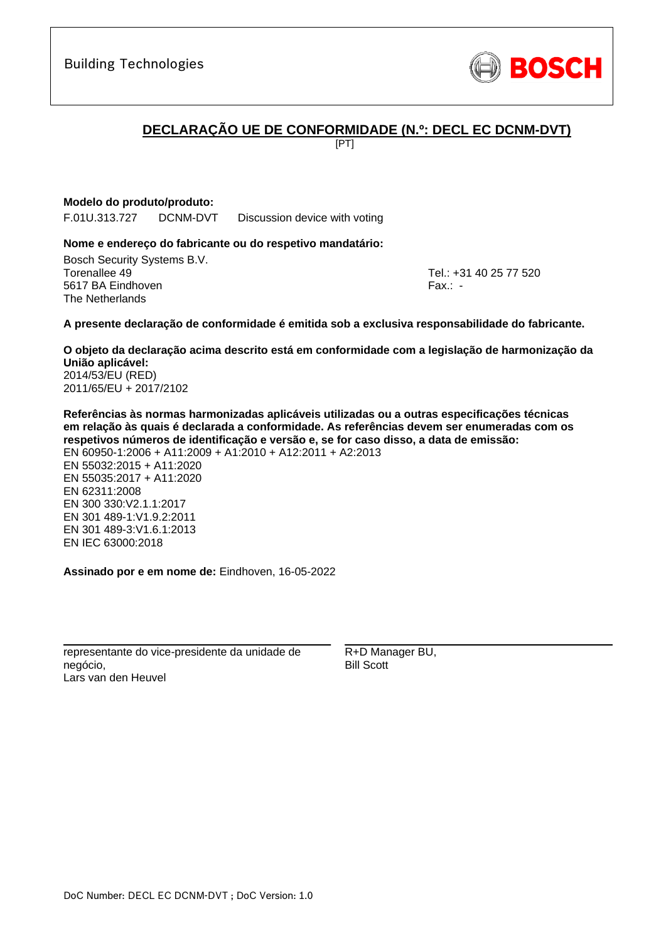Building Technologies

# **DECLARAÇÃO UE DE CONFORMIDADE (N.º: DECL EC DCNM-DVT)**

[PT]

## **Modelo do produto/produto:**

F.01U.313.727 DCNM-DVT Discussion device with voting

## **Nome e endereço do fabricante ou do respetivo mandatário:**

Bosch Security Systems B.V. Torenallee 49 Tel.: [+31 40 25 77 520](#page-0-0) 5617 BA Eindhoven Fax.: [-](#page-0-1) The Netherlands

\_\_\_\_\_\_\_\_\_\_\_\_\_\_\_\_\_\_\_\_\_\_\_\_\_\_\_\_\_\_\_\_\_\_\_\_\_\_\_\_\_\_\_

### **A presente declaração de conformidade é emitida sob a exclusiva responsabilidade do fabricante.**

**O objeto da declaração acima descrito está em conformidade com a legislação de harmonização da União aplicável[:](#page-0-2)** [2014/53/EU \(RED\)](#page-0-2) [2011/65/EU + 2017/2102](#page-0-2)

**Referências às normas harmonizadas aplicáveis utilizadas ou a outras especificações técnicas em relação às quais é declarada a conformidade. As referências devem ser enumeradas com os respetivos números de identificação e versão e, se for caso disso, a data de emissão:** EN 60950-1:2006 + A11:2009 + A1:2010 + A12:2011 + A2:2013 EN 55032:2015 + A11:2020 EN 55035:2017 + A11:2020 EN 62311:2008 EN 300 330:V2.1.1:2017 EN 301 489-1:V1.9.2:2011 EN 301 489-3:V1.6.1:2013 [E](#page-0-6)[N](#page-0-7) [I](#page-0-8)[E](#page-0-9)C 63000:201[8](#page-0-3)

**Assinado por e em nome de:** Eindhoven, 16-05-2022

\_\_\_\_\_\_\_\_\_\_\_\_\_\_\_\_\_\_\_\_\_\_\_\_\_\_\_\_\_\_\_\_\_\_\_\_\_\_\_\_\_\_\_ representante do vice-presidente da unidade de negócio, Lars van den Heuvel

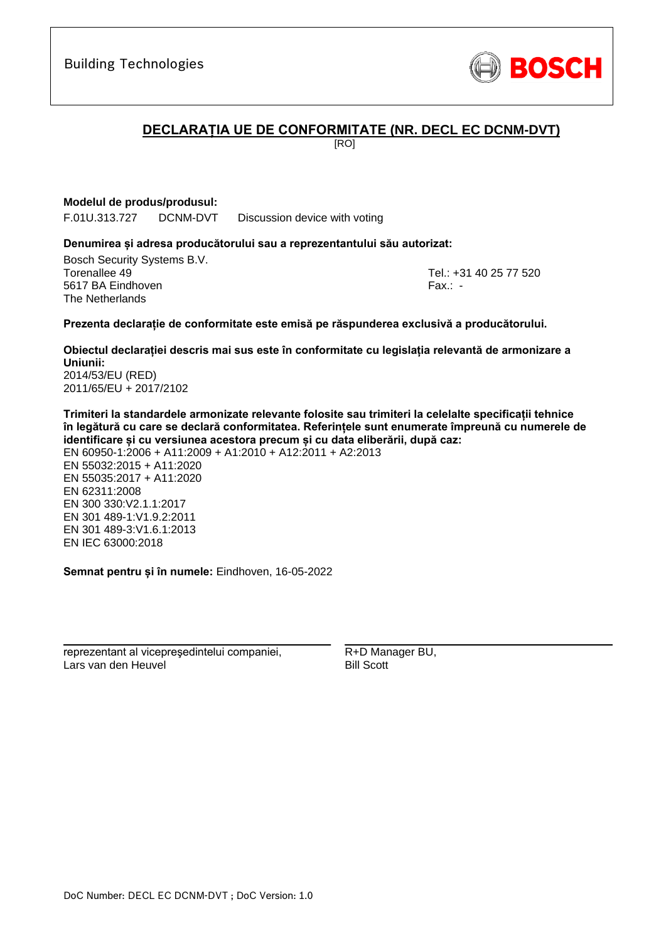

# **DECLARAȚIA UE DE CONFORMITATE (NR. DECL EC DCNM-DVT)**

[RO]

## **Modelul de produs/produsul:**

F.01U.313.727 DCNM-DVT Discussion device with voting

## **Denumirea și adresa producătorului sau a reprezentantului său autorizat:**

Bosch Security Systems B.V. Torenallee 49 Tel.: [+31 40 25 77 520](#page-0-0) 5617 BA Eindhoven Fax.: [-](#page-0-1) The Netherlands

\_\_\_\_\_\_\_\_\_\_\_\_\_\_\_\_\_\_\_\_\_\_\_\_\_\_\_\_\_\_\_\_\_\_\_\_\_\_\_\_\_\_\_

### **Prezenta declarație de conformitate este emisă pe răspunderea exclusivă a producătorului.**

**Obiectul declarației descris mai sus este în conformitate cu legislația relevantă de armonizare a Uniunii[:](#page-0-2)** [2014/53/EU \(RED\)](#page-0-2)

[2011/65/EU + 2017/2102](#page-0-2)

**Trimiteri la standardele armonizate relevante folosite sau trimiteri la celelalte specificații tehnice în legătură cu care se declară conformitatea. Referințele sunt enumerate împreună cu numerele de identificare și cu versiunea acestora precum și cu data eliberării, după caz:**

EN 60950-1:2006 + A11:2009 + A1:2010 + A12:2011 + A2:2013 EN 55032:2015 + A11:2020 EN 55035:2017 + A11:2020 EN 62311:2008 EN 300 330:V2.1.1:2017 EN 301 489-1:V1.9.2:2011 EN 301 489-3:V1.6.1:2013 [E](#page-0-6)[N](#page-0-7) [I](#page-0-8)[E](#page-0-9)C 63000:201[8](#page-0-3)

**Semnat pentru și în numele:** Eindhoven, 16-05-2022

\_\_\_\_\_\_\_\_\_\_\_\_\_\_\_\_\_\_\_\_\_\_\_\_\_\_\_\_\_\_\_\_\_\_\_\_\_\_\_\_\_\_\_

reprezentant al vicepreşedintelui companiei, Lars van den Heuvel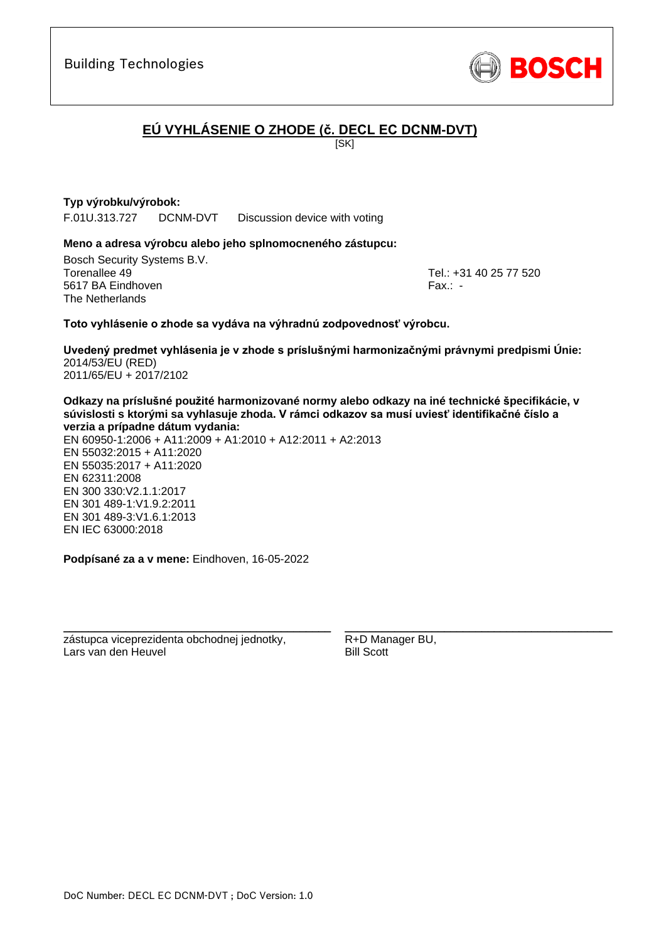

# **EÚ VYHLÁSENIE O ZHODE (č. DECL EC DCNM-DVT)**

**ISKI** 

## **Typ výrobku/výrobok:**

F.01U.313.727 DCNM-DVT Discussion device with voting

### **Meno a adresa výrobcu alebo jeho splnomocneného zástupcu:**

Bosch Security Systems B.V. Torenallee 49 Tel.: [+31 40 25 77 520](#page-0-0) 5617 BA Eindhoven Fax.: [-](#page-0-1) The Netherlands

\_\_\_\_\_\_\_\_\_\_\_\_\_\_\_\_\_\_\_\_\_\_\_\_\_\_\_\_\_\_\_\_\_\_\_\_\_\_\_\_\_\_\_

### **Toto vyhlásenie o zhode sa vydáva na výhradnú zodpovednosť výrobcu.**

**Uvedený predmet vyhlásenia je v zhode s príslušnými harmonizačnými právnymi predpismi Únie[:](#page-0-2)** [2014/53/EU \(RED\)](#page-0-2) [2011/65/EU + 2017/2102](#page-0-2)

**Odkazy na príslušné použité harmonizované normy alebo odkazy na iné technické špecifikácie, v súvislosti s ktorými sa vyhlasuje zhoda. V rámci odkazov sa musí uviesť identifikačné číslo a verzia a prípadne dátum vydania:**

EN 60950-1:2006 + A11:2009 + A1:2010 + A12:2011 + A2:2013 EN 55032:2015 + A11:2020 EN 55035:2017 + A11:2020 EN 62311:2008 EN 300 330:V2.1.1:2017 EN 301 489-1:V1.9.2:2011 EN 301 489-3:V1.6.[1:](#page-0-4)[2](#page-0-5)013 EN IEC 63000:201[8](#page-0-3)

**Podpísané za a v mene:** Eindhoven, 16-05-2022

\_\_\_\_\_\_\_\_\_\_\_\_\_\_\_\_\_\_\_\_\_\_\_\_\_\_\_\_\_\_\_\_\_\_\_\_\_\_\_\_\_\_\_

zástupca viceprezidenta obchodnej jednotky, Lars van den Heuvel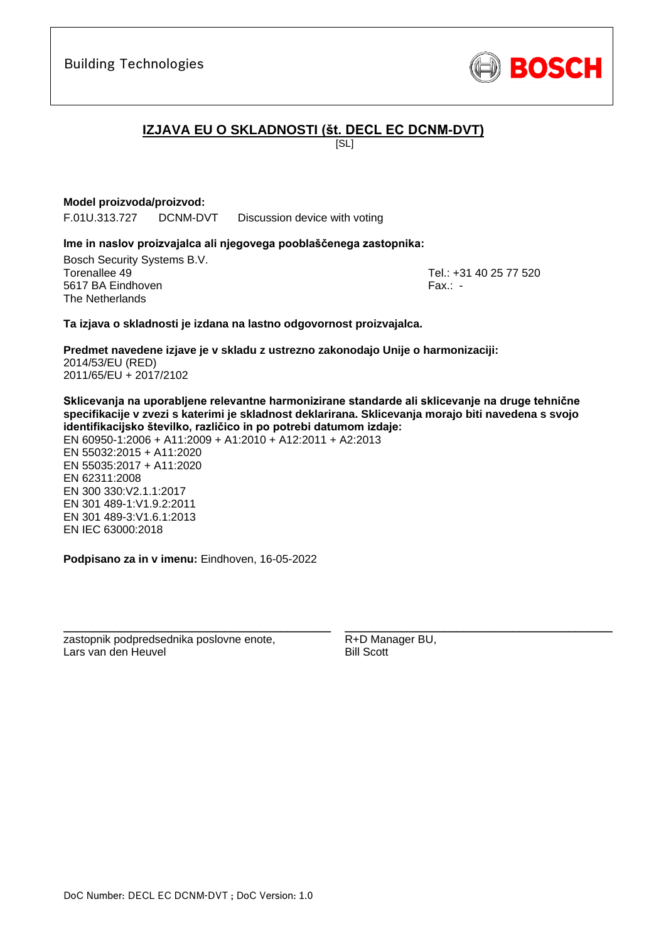

# **IZJAVA EU O SKLADNOSTI (št. DECL EC DCNM-DVT)**

[SL]

## **Model proizvoda/proizvod:**

F.01U.313.727 DCNM-DVT Discussion device with voting

## **Ime in naslov proizvajalca ali njegovega pooblaščenega zastopnika:**

Bosch Security Systems B.V. Torenallee 49 Tel.: [+31 40 25 77 520](#page-0-0) 5617 BA Eindhoven Fax.: [-](#page-0-1) The Netherlands

\_\_\_\_\_\_\_\_\_\_\_\_\_\_\_\_\_\_\_\_\_\_\_\_\_\_\_\_\_\_\_\_\_\_\_\_\_\_\_\_\_\_\_

## **Ta izjava o skladnosti je izdana na lastno odgovornost proizvajalca.**

**Predmet navedene izjave je v skladu z ustrezno zakonodajo Unije o harmonizaciji[:](#page-0-2)** [2014/53/EU \(RED\)](#page-0-2) [2011/65/EU + 2017/2102](#page-0-2)

**Sklicevanja na uporabljene relevantne harmonizirane standarde ali sklicevanje na druge tehnične specifikacije v zvezi s katerimi je skladnost deklarirana. Sklicevanja morajo biti navedena s svojo identifikacijsko številko, različico in po potrebi datumom izdaje:**

EN 60950-1:2006 + A11:2009 + A1:2010 + A12:2011 + A2:2013 EN 55032:2015 + A11:2020 EN 55035:2017 + A11:2020 EN 62311:2008 EN 300 330:V2.1.1:2017 EN 301 489-1:V1.9.2:2011 EN 301 489-3:V1.6.[1:](#page-0-4)[2](#page-0-5)013 EN IEC 63000:201[8](#page-0-3)

**Podpisano za in v imenu:** Eindhoven, 16-05-2022

\_\_\_\_\_\_\_\_\_\_\_\_\_\_\_\_\_\_\_\_\_\_\_\_\_\_\_\_\_\_\_\_\_\_\_\_\_\_\_\_\_\_\_

zastopnik podpredsednika poslovne enote, Lars van den Heuvel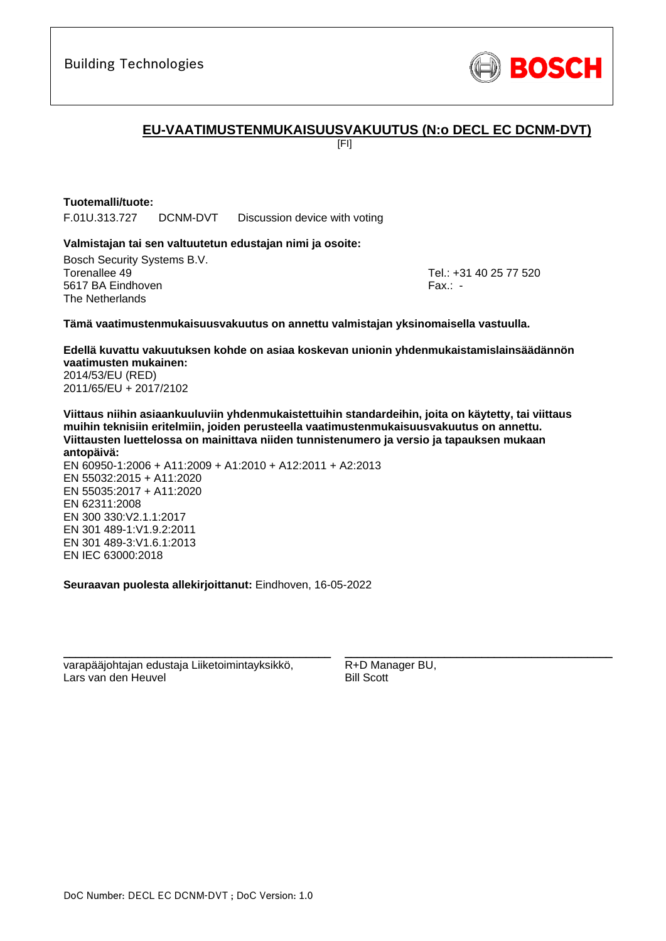

# **EU-VAATIMUSTENMUKAISUUSVAKUUTUS (N:o DECL EC DCNM-DVT)**

[FI]

## **Tuotemalli/tuote:**

F.01U.313.727 DCNM-DVT Discussion device with voting

### **Valmistajan tai sen valtuutetun edustajan nimi ja osoite:**

Bosch Security Systems B.V. Torenallee 49 Tel.: [+31 40 25 77 520](#page-0-0) 5617 BA Eindhoven Fax.: [-](#page-0-1) The Netherlands

\_\_\_\_\_\_\_\_\_\_\_\_\_\_\_\_\_\_\_\_\_\_\_\_\_\_\_\_\_\_\_\_\_\_\_\_\_\_\_\_\_\_\_

#### **Tämä vaatimustenmukaisuusvakuutus on annettu valmistajan yksinomaisella vastuulla.**

**Edellä kuvattu vakuutuksen kohde on asiaa koskevan unionin yhdenmukaistamislainsäädännön vaatimusten mukainen[:](#page-0-2)** [2014/53/EU \(RED\)](#page-0-2)

[2011/65/EU + 2017/2102](#page-0-2)

**Viittaus niihin asiaankuuluviin yhdenmukaistettuihin standardeihin, joita on käytetty, tai viittaus muihin teknisiin eritelmiin, joiden perusteella vaatimustenmukaisuusvakuutus on annettu. Viittausten luettelossa on mainittava niiden tunnistenumero ja versio ja tapauksen mukaan antopäivä:**

EN 60950-1:2006 + A11:2009 + A1:2010 + A12:2011 + A2:2013 EN 55032:2015 + A11:2020 EN 55035:2017 + A11:2020 EN 62311:2008 EN 300 330:V2.1.1:2017 EN 301 489-1:V1.9.2:2011 EN 301 489-3:V1.6.[1:](#page-0-4)[2](#page-0-5)013 EN IEC 63000:201[8](#page-0-3)

**Seuraavan puolesta allekirjoittanut:** Eindhoven, 16-05-2022

varapääjohtajan edustaja Liiketoimintayksikkö, Lars van den Heuvel

\_\_\_\_\_\_\_\_\_\_\_\_\_\_\_\_\_\_\_\_\_\_\_\_\_\_\_\_\_\_\_\_\_\_\_\_\_\_\_\_\_\_\_